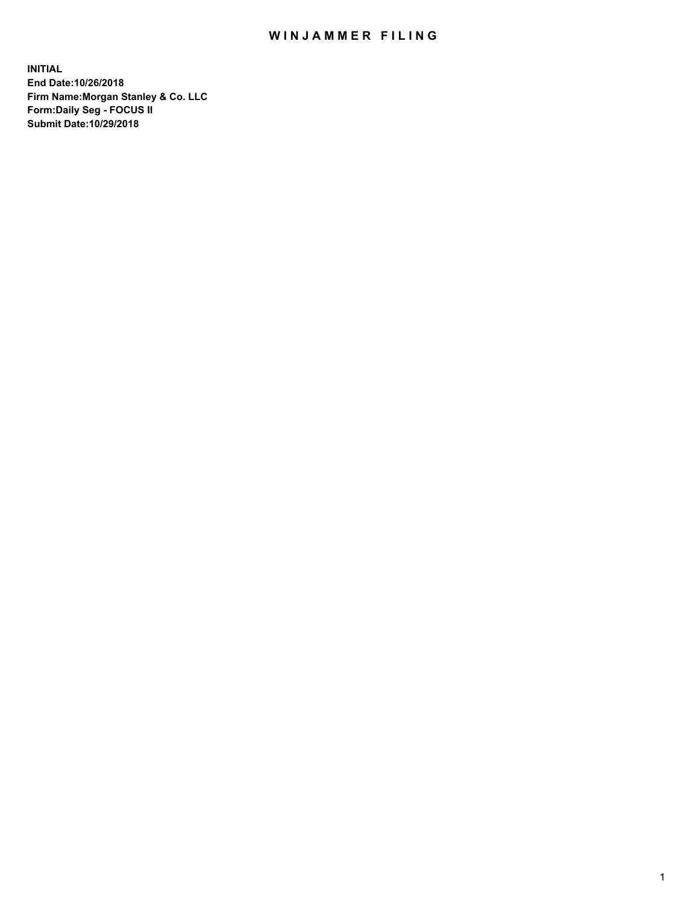## WIN JAMMER FILING

**INITIAL End Date:10/26/2018 Firm Name:Morgan Stanley & Co. LLC Form:Daily Seg - FOCUS II Submit Date:10/29/2018**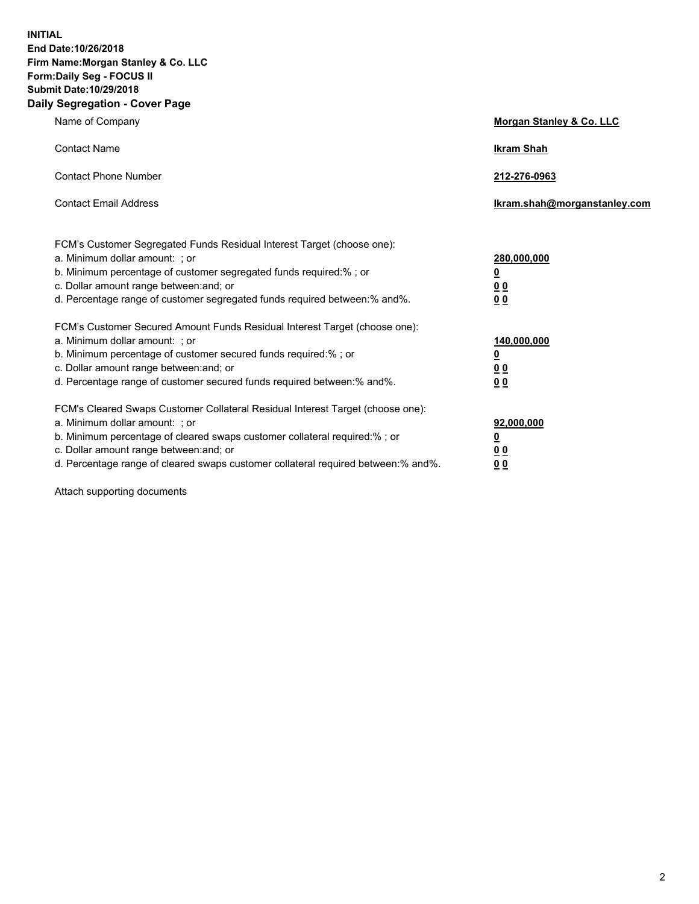**INITIAL End Date:10/26/2018 Firm Name:Morgan Stanley & Co. LLC Form:Daily Seg - FOCUS II Submit Date:10/29/2018 Daily Segregation - Cover Page**

| Name of Company                                                                                                                                                                                                                                                                                                               | Morgan Stanley & Co. LLC                               |
|-------------------------------------------------------------------------------------------------------------------------------------------------------------------------------------------------------------------------------------------------------------------------------------------------------------------------------|--------------------------------------------------------|
| <b>Contact Name</b>                                                                                                                                                                                                                                                                                                           | <b>Ikram Shah</b>                                      |
| <b>Contact Phone Number</b>                                                                                                                                                                                                                                                                                                   | 212-276-0963                                           |
| <b>Contact Email Address</b>                                                                                                                                                                                                                                                                                                  | Ikram.shah@morganstanley.com                           |
| FCM's Customer Segregated Funds Residual Interest Target (choose one):<br>a. Minimum dollar amount: ; or<br>b. Minimum percentage of customer segregated funds required:% ; or<br>c. Dollar amount range between: and; or<br>d. Percentage range of customer segregated funds required between:% and%.                        | 280,000,000<br><u>0</u><br><u>00</u><br>0 <sup>0</sup> |
| FCM's Customer Secured Amount Funds Residual Interest Target (choose one):<br>a. Minimum dollar amount: ; or<br>b. Minimum percentage of customer secured funds required:%; or<br>c. Dollar amount range between: and; or<br>d. Percentage range of customer secured funds required between:% and%.                           | 140,000,000<br><u>0</u><br><u>00</u><br>0 <sub>0</sub> |
| FCM's Cleared Swaps Customer Collateral Residual Interest Target (choose one):<br>a. Minimum dollar amount: ; or<br>b. Minimum percentage of cleared swaps customer collateral required:%; or<br>c. Dollar amount range between: and; or<br>d. Percentage range of cleared swaps customer collateral required between:% and%. | 92,000,000<br><u>0</u><br>0 Q<br>00                    |

Attach supporting documents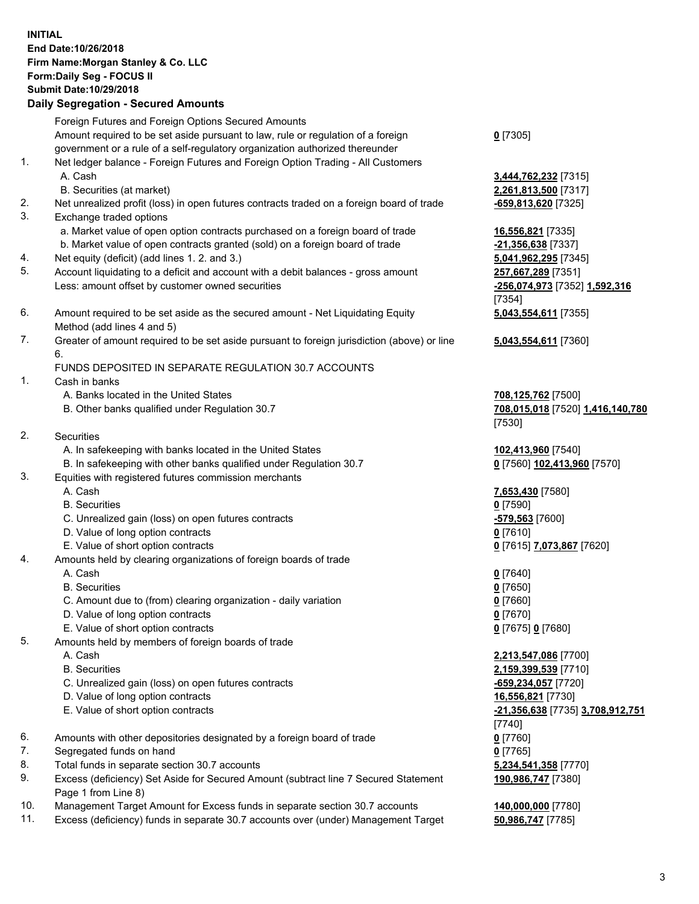## **INITIAL End Date:10/26/2018 Firm Name:Morgan Stanley & Co. LLC Form:Daily Seg - FOCUS II Submit Date:10/29/2018**

## **Daily Segregation - Secured Amounts**

Foreign Futures and Foreign Options Secured Amounts Amount required to be set aside pursuant to law, rule or regulation of a foreign government or a rule of a self-regulatory organization authorized thereunder 1. Net ledger balance - Foreign Futures and Foreign Option Trading - All Customers A. Cash **3,444,762,232** [7315] B. Securities (at market) **2,261,813,500** [7317] 2. Net unrealized profit (loss) in open futures contracts traded on a foreign board of trade **-659,813,620** [7325] 3. Exchange traded options a. Market value of open option contracts purchased on a foreign board of trade **16,556,821** [7335] b. Market value of open contracts granted (sold) on a foreign board of trade **-21,356,638** [7337] 4. Net equity (deficit) (add lines 1. 2. and 3.) **5,041,962,295** [7345] 5. Account liquidating to a deficit and account with a debit balances - gross amount **257,667,289** [7351] Less: amount offset by customer owned securities **-256,074,973** [7352] **1,592,316** 6. Amount required to be set aside as the secured amount - Net Liquidating Equity Method (add lines 4 and 5) 7. Greater of amount required to be set aside pursuant to foreign jurisdiction (above) or line 6.

## FUNDS DEPOSITED IN SEPARATE REGULATION 30.7 ACCOUNTS

- 1. Cash in banks
	- A. Banks located in the United States **708,125,762** [7500]
	- B. Other banks qualified under Regulation 30.7 **708,015,018** [7520] **1,416,140,780**
- 2. Securities
	- A. In safekeeping with banks located in the United States **102,413,960** [7540]
	- B. In safekeeping with other banks qualified under Regulation 30.7 **0** [7560] **102,413,960** [7570]
- 3. Equities with registered futures commission merchants
	-
	- B. Securities **0** [7590]
	- C. Unrealized gain (loss) on open futures contracts **-579,563** [7600]
	- D. Value of long option contracts **0** [7610]
- E. Value of short option contracts **0** [7615] **7,073,867** [7620]
- 4. Amounts held by clearing organizations of foreign boards of trade
	- A. Cash **0** [7640]
	- B. Securities **0** [7650]
	- C. Amount due to (from) clearing organization daily variation **0** [7660]
	- D. Value of long option contracts **0** [7670]
	- E. Value of short option contracts **0** [7675] **0** [7680]
- 5. Amounts held by members of foreign boards of trade
	-
	-
	- C. Unrealized gain (loss) on open futures contracts **-659,234,057** [7720]
	- D. Value of long option contracts **16,556,821** [7730]
	- E. Value of short option contracts **-21,356,638** [7735] **3,708,912,751**
- 6. Amounts with other depositories designated by a foreign board of trade **0** [7760]
- 7. Segregated funds on hand **0** [7765]
- 8. Total funds in separate section 30.7 accounts **5,234,541,358** [7770]
- 9. Excess (deficiency) Set Aside for Secured Amount (subtract line 7 Secured Statement Page 1 from Line 8)
- 10. Management Target Amount for Excess funds in separate section 30.7 accounts **140,000,000** [7780]
- 11. Excess (deficiency) funds in separate 30.7 accounts over (under) Management Target **50,986,747** [7785]

**0** [7305]

[7354] **5,043,554,611** [7355]

**5,043,554,611** [7360]

[7530]

A. Cash **7,653,430** [7580]

 A. Cash **2,213,547,086** [7700] B. Securities **2,159,399,539** [7710] [7740] **190,986,747** [7380]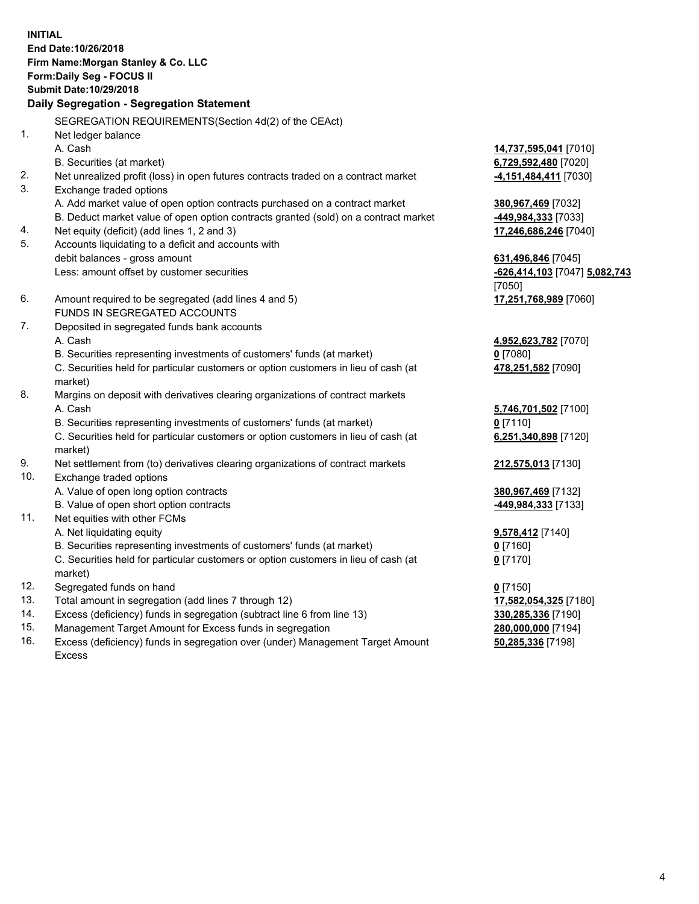**INITIAL End Date:10/26/2018 Firm Name:Morgan Stanley & Co. LLC Form:Daily Seg - FOCUS II Submit Date:10/29/2018 Daily Segregation - Segregation Statement** SEGREGATION REQUIREMENTS(Section 4d(2) of the CEAct) 1. Net ledger balance A. Cash **14,737,595,041** [7010] B. Securities (at market) **6,729,592,480** [7020] 2. Net unrealized profit (loss) in open futures contracts traded on a contract market **-4,151,484,411** [7030] 3. Exchange traded options A. Add market value of open option contracts purchased on a contract market **380,967,469** [7032] B. Deduct market value of open option contracts granted (sold) on a contract market **-449,984,333** [7033] 4. Net equity (deficit) (add lines 1, 2 and 3) **17,246,686,246** [7040] 5. Accounts liquidating to a deficit and accounts with debit balances - gross amount **631,496,846** [7045] Less: amount offset by customer securities **-626,414,103** [7047] **5,082,743** [7050] 6. Amount required to be segregated (add lines 4 and 5) **17,251,768,989** [7060] FUNDS IN SEGREGATED ACCOUNTS 7. Deposited in segregated funds bank accounts A. Cash **4,952,623,782** [7070] B. Securities representing investments of customers' funds (at market) **0** [7080] C. Securities held for particular customers or option customers in lieu of cash (at market) **478,251,582** [7090] 8. Margins on deposit with derivatives clearing organizations of contract markets A. Cash **5,746,701,502** [7100] B. Securities representing investments of customers' funds (at market) **0** [7110] C. Securities held for particular customers or option customers in lieu of cash (at market) **6,251,340,898** [7120] 9. Net settlement from (to) derivatives clearing organizations of contract markets **212,575,013** [7130] 10. Exchange traded options A. Value of open long option contracts **380,967,469** [7132] B. Value of open short option contracts **-449,984,333** [7133] 11. Net equities with other FCMs A. Net liquidating equity **9,578,412** [7140] B. Securities representing investments of customers' funds (at market) **0** [7160] C. Securities held for particular customers or option customers in lieu of cash (at market) **0** [7170] 12. Segregated funds on hand **0** [7150] 13. Total amount in segregation (add lines 7 through 12) **17,582,054,325** [7180] 14. Excess (deficiency) funds in segregation (subtract line 6 from line 13) **330,285,336** [7190]

- 15. Management Target Amount for Excess funds in segregation **280,000,000** [7194]
- 16. Excess (deficiency) funds in segregation over (under) Management Target Amount Excess

**50,285,336** [7198]